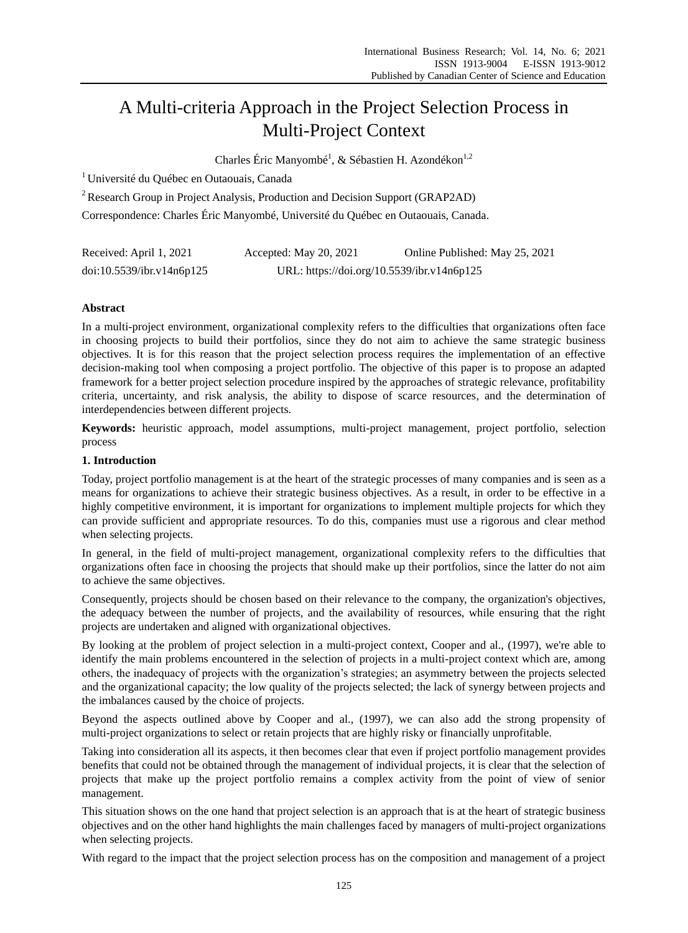# A Multi-criteria Approach in the Project Selection Process in Multi-Project Context

Charles Éric Manyombé, & Sébastien H. Azondékon<sup>1,2</sup>

<sup>1</sup> Université du Québec en Outaouais, Canada

<sup>2</sup> Research Group in Project Analysis, Production and Decision Support (GRAP2AD)

Correspondence: Charles Éric Manyombé, Université du Québec en Outaouais, Canada.

| Received: April 1, 2021   | Accepted: May 20, 2021                     | Online Published: May 25, 2021 |
|---------------------------|--------------------------------------------|--------------------------------|
| doi:10.5539/ibr.v14n6p125 | URL: https://doi.org/10.5539/ibr.v14n6p125 |                                |

## **Abstract**

In a multi-project environment, organizational complexity refers to the difficulties that organizations often face in choosing projects to build their portfolios, since they do not aim to achieve the same strategic business objectives. It is for this reason that the project selection process requires the implementation of an effective decision-making tool when composing a project portfolio. The objective of this paper is to propose an adapted framework for a better project selection procedure inspired by the approaches of strategic relevance, profitability criteria, uncertainty, and risk analysis, the ability to dispose of scarce resources, and the determination of interdependencies between different projects.

**Keywords:** heuristic approach, model assumptions, multi-project management, project portfolio, selection process

### **1. Introduction**

Today, project portfolio management is at the heart of the strategic processes of many companies and is seen as a means for organizations to achieve their strategic business objectives. As a result, in order to be effective in a highly competitive environment, it is important for organizations to implement multiple projects for which they can provide sufficient and appropriate resources. To do this, companies must use a rigorous and clear method when selecting projects.

In general, in the field of multi-project management, organizational complexity refers to the difficulties that organizations often face in choosing the projects that should make up their portfolios, since the latter do not aim to achieve the same objectives.

Consequently, projects should be chosen based on their relevance to the company, the organization's objectives, the adequacy between the number of projects, and the availability of resources, while ensuring that the right projects are undertaken and aligned with organizational objectives.

By looking at the problem of project selection in a multi-project context, Cooper and al., (1997), we're able to identify the main problems encountered in the selection of projects in a multi-project context which are, among others, the inadequacy of projects with the organization's strategies; an asymmetry between the projects selected and the organizational capacity; the low quality of the projects selected; the lack of synergy between projects and the imbalances caused by the choice of projects.

Beyond the aspects outlined above by Cooper and al., (1997), we can also add the strong propensity of multi-project organizations to select or retain projects that are highly risky or financially unprofitable.

Taking into consideration all its aspects, it then becomes clear that even if project portfolio management provides benefits that could not be obtained through the management of individual projects, it is clear that the selection of projects that make up the project portfolio remains a complex activity from the point of view of senior management.

This situation shows on the one hand that project selection is an approach that is at the heart of strategic business objectives and on the other hand highlights the main challenges faced by managers of multi-project organizations when selecting projects.

With regard to the impact that the project selection process has on the composition and management of a project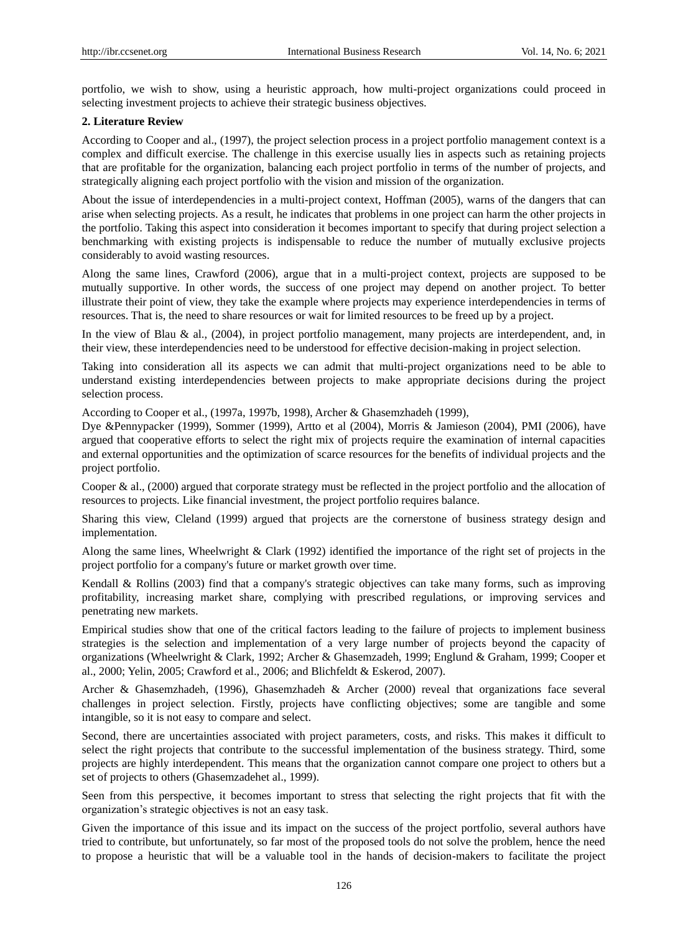portfolio, we wish to show, using a heuristic approach, how multi-project organizations could proceed in selecting investment projects to achieve their strategic business objectives.

#### **2. Literature Review**

According to Cooper and al., (1997), the project selection process in a project portfolio management context is a complex and difficult exercise. The challenge in this exercise usually lies in aspects such as retaining projects that are profitable for the organization, balancing each project portfolio in terms of the number of projects, and strategically aligning each project portfolio with the vision and mission of the organization.

About the issue of interdependencies in a multi-project context, Hoffman (2005), warns of the dangers that can arise when selecting projects. As a result, he indicates that problems in one project can harm the other projects in the portfolio. Taking this aspect into consideration it becomes important to specify that during project selection a benchmarking with existing projects is indispensable to reduce the number of mutually exclusive projects considerably to avoid wasting resources.

Along the same lines, Crawford (2006), argue that in a multi-project context, projects are supposed to be mutually supportive. In other words, the success of one project may depend on another project. To better illustrate their point of view, they take the example where projects may experience interdependencies in terms of resources. That is, the need to share resources or wait for limited resources to be freed up by a project.

In the view of Blau & al., (2004), in project portfolio management, many projects are interdependent, and, in their view, these interdependencies need to be understood for effective decision-making in project selection.

Taking into consideration all its aspects we can admit that multi-project organizations need to be able to understand existing interdependencies between projects to make appropriate decisions during the project selection process.

According to Cooper et al., (1997a, 1997b, 1998), Archer & Ghasemzhadeh (1999),

Dye &Pennypacker (1999), Sommer (1999), Artto et al (2004), Morris & Jamieson (2004), PMI (2006), have argued that cooperative efforts to select the right mix of projects require the examination of internal capacities and external opportunities and the optimization of scarce resources for the benefits of individual projects and the project portfolio.

Cooper & al., (2000) argued that corporate strategy must be reflected in the project portfolio and the allocation of resources to projects. Like financial investment, the project portfolio requires balance.

Sharing this view, Cleland (1999) argued that projects are the cornerstone of business strategy design and implementation.

Along the same lines, Wheelwright & Clark (1992) identified the importance of the right set of projects in the project portfolio for a company's future or market growth over time.

Kendall & Rollins (2003) find that a company's strategic objectives can take many forms, such as improving profitability, increasing market share, complying with prescribed regulations, or improving services and penetrating new markets.

Empirical studies show that one of the critical factors leading to the failure of projects to implement business strategies is the selection and implementation of a very large number of projects beyond the capacity of organizations (Wheelwright & Clark, 1992; Archer & Ghasemzadeh, 1999; Englund & Graham, 1999; Cooper et al., 2000; Yelin, 2005; Crawford et al., 2006; and Blichfeldt & Eskerod, 2007).

Archer & Ghasemzhadeh, (1996), Ghasemzhadeh & Archer (2000) reveal that organizations face several challenges in project selection. Firstly, projects have conflicting objectives; some are tangible and some intangible, so it is not easy to compare and select.

Second, there are uncertainties associated with project parameters, costs, and risks. This makes it difficult to select the right projects that contribute to the successful implementation of the business strategy. Third, some projects are highly interdependent. This means that the organization cannot compare one project to others but a set of projects to others (Ghasemzadehet al., 1999).

Seen from this perspective, it becomes important to stress that selecting the right projects that fit with the organization's strategic objectives is not an easy task.

Given the importance of this issue and its impact on the success of the project portfolio, several authors have tried to contribute, but unfortunately, so far most of the proposed tools do not solve the problem, hence the need to propose a heuristic that will be a valuable tool in the hands of decision-makers to facilitate the project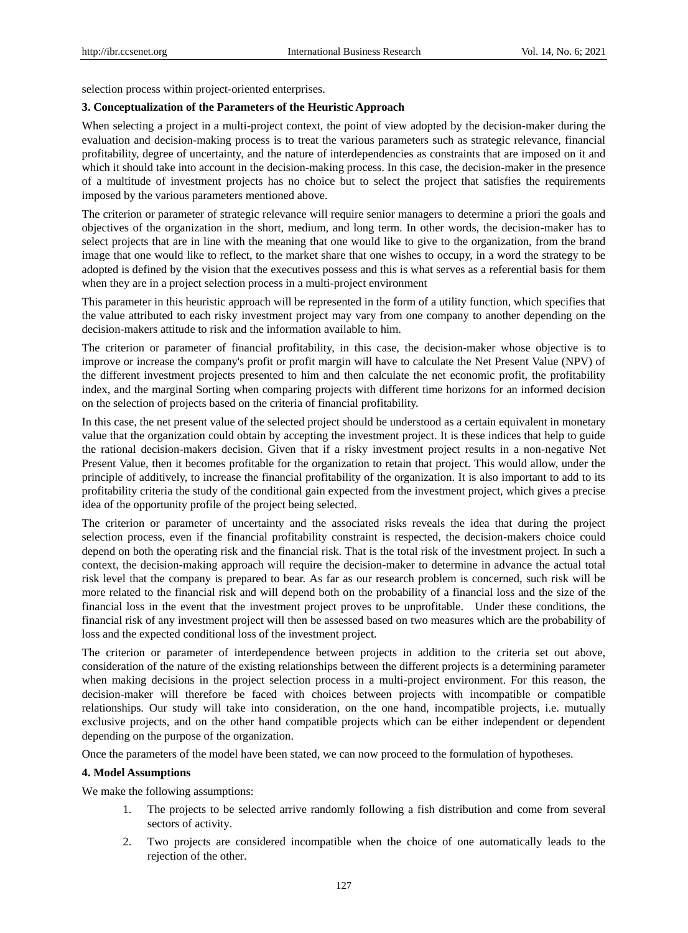selection process within project-oriented enterprises.

#### **3. Conceptualization of the Parameters of the Heuristic Approach**

When selecting a project in a multi-project context, the point of view adopted by the decision-maker during the evaluation and decision-making process is to treat the various parameters such as strategic relevance, financial profitability, degree of uncertainty, and the nature of interdependencies as constraints that are imposed on it and which it should take into account in the decision-making process. In this case, the decision-maker in the presence of a multitude of investment projects has no choice but to select the project that satisfies the requirements imposed by the various parameters mentioned above.

The criterion or parameter of strategic relevance will require senior managers to determine a priori the goals and objectives of the organization in the short, medium, and long term. In other words, the decision-maker has to select projects that are in line with the meaning that one would like to give to the organization, from the brand image that one would like to reflect, to the market share that one wishes to occupy, in a word the strategy to be adopted is defined by the vision that the executives possess and this is what serves as a referential basis for them when they are in a project selection process in a multi-project environment

This parameter in this heuristic approach will be represented in the form of a utility function, which specifies that the value attributed to each risky investment project may vary from one company to another depending on the decision-makers attitude to risk and the information available to him.

The criterion or parameter of financial profitability, in this case, the decision-maker whose objective is to improve or increase the company's profit or profit margin will have to calculate the Net Present Value (NPV) of the different investment projects presented to him and then calculate the net economic profit, the profitability index, and the marginal Sorting when comparing projects with different time horizons for an informed decision on the selection of projects based on the criteria of financial profitability.

In this case, the net present value of the selected project should be understood as a certain equivalent in monetary value that the organization could obtain by accepting the investment project. It is these indices that help to guide the rational decision-makers decision. Given that if a risky investment project results in a non-negative Net Present Value, then it becomes profitable for the organization to retain that project. This would allow, under the principle of additively, to increase the financial profitability of the organization. It is also important to add to its profitability criteria the study of the conditional gain expected from the investment project, which gives a precise idea of the opportunity profile of the project being selected.

The criterion or parameter of uncertainty and the associated risks reveals the idea that during the project selection process, even if the financial profitability constraint is respected, the decision-makers choice could depend on both the operating risk and the financial risk. That is the total risk of the investment project. In such a context, the decision-making approach will require the decision-maker to determine in advance the actual total risk level that the company is prepared to bear. As far as our research problem is concerned, such risk will be more related to the financial risk and will depend both on the probability of a financial loss and the size of the financial loss in the event that the investment project proves to be unprofitable. Under these conditions, the financial risk of any investment project will then be assessed based on two measures which are the probability of loss and the expected conditional loss of the investment project.

The criterion or parameter of interdependence between projects in addition to the criteria set out above, consideration of the nature of the existing relationships between the different projects is a determining parameter when making decisions in the project selection process in a multi-project environment. For this reason, the decision-maker will therefore be faced with choices between projects with incompatible or compatible relationships. Our study will take into consideration, on the one hand, incompatible projects, i.e. mutually exclusive projects, and on the other hand compatible projects which can be either independent or dependent depending on the purpose of the organization.

Once the parameters of the model have been stated, we can now proceed to the formulation of hypotheses.

#### **4. Model Assumptions**

We make the following assumptions:

- 1. The projects to be selected arrive randomly following a fish distribution and come from several sectors of activity.
- 2. Two projects are considered incompatible when the choice of one automatically leads to the rejection of the other.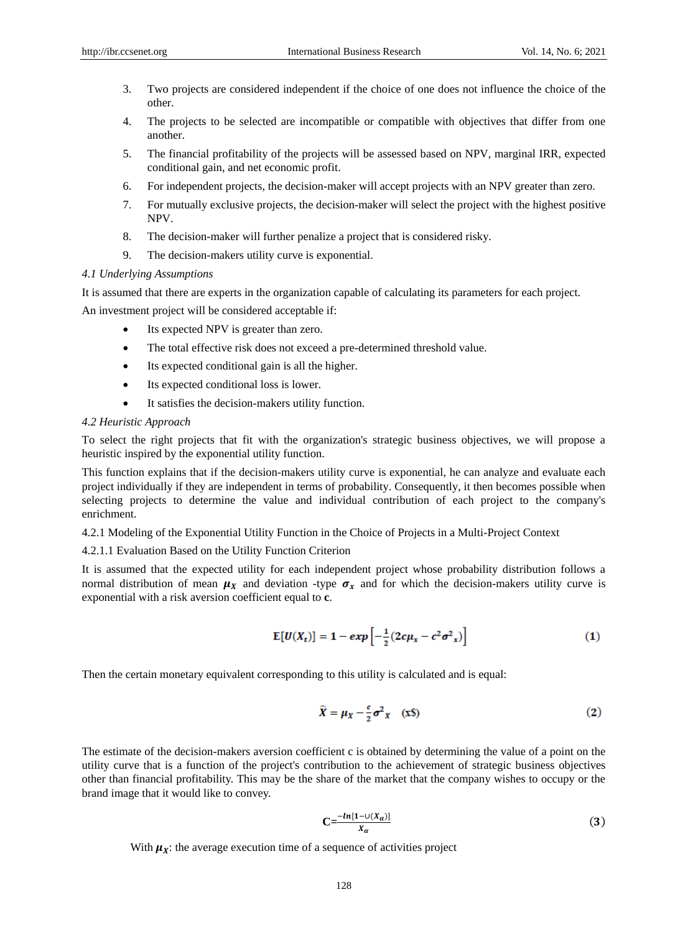- 3. Two projects are considered independent if the choice of one does not influence the choice of the other.
- 4. The projects to be selected are incompatible or compatible with objectives that differ from one another.
- 5. The financial profitability of the projects will be assessed based on NPV, marginal IRR, expected conditional gain, and net economic profit.
- 6. For independent projects, the decision-maker will accept projects with an NPV greater than zero.
- 7. For mutually exclusive projects, the decision-maker will select the project with the highest positive NPV.
- 8. The decision-maker will further penalize a project that is considered risky.
- 9. The decision-makers utility curve is exponential.

#### *4.1 Underlying Assumptions*

It is assumed that there are experts in the organization capable of calculating its parameters for each project.

An investment project will be considered acceptable if:

- Its expected NPV is greater than zero.
- The total effective risk does not exceed a pre-determined threshold value.
- Its expected conditional gain is all the higher.
- Its expected conditional loss is lower.
- It satisfies the decision-makers utility function.

#### *4.2 Heuristic Approach*

To select the right projects that fit with the organization's strategic business objectives, we will propose a heuristic inspired by the exponential utility function.

This function explains that if the decision-makers utility curve is exponential, he can analyze and evaluate each project individually if they are independent in terms of probability. Consequently, it then becomes possible when selecting projects to determine the value and individual contribution of each project to the company's enrichment.

4.2.1 Modeling of the Exponential Utility Function in the Choice of Projects in a Multi-Project Context

4.2.1.1 Evaluation Based on the Utility Function Criterion

It is assumed that the expected utility for each independent project whose probability distribution follows a normal distribution of mean  $\mu_X$  and deviation -type  $\sigma_Y$  and for which the decision-makers utility curve is exponential with a risk aversion coefficient equal to **c**.

$$
E[U(X_t)] = 1 - exp\left[-\frac{1}{2}(2c\mu_x - c^2\sigma^2_x)\right]
$$
 (1)

Then the certain monetary equivalent corresponding to this utility is calculated and is equal:

$$
\widehat{X} = \mu_X - \frac{c}{2}\sigma^2_X \quad (x\text{S})
$$
 (2)

The estimate of the decision-makers aversion coefficient c is obtained by determining the value of a point on the utility curve that is a function of the project's contribution to the achievement of strategic business objectives other than financial profitability. This may be the share of the market that the company wishes to occupy or the brand image that it would like to convey.

$$
C = \frac{-\ln[1 - \cup (X_{\alpha})]}{X_{\alpha}} \tag{3}
$$

With  $\mu_X$ : the average execution time of a sequence of activities project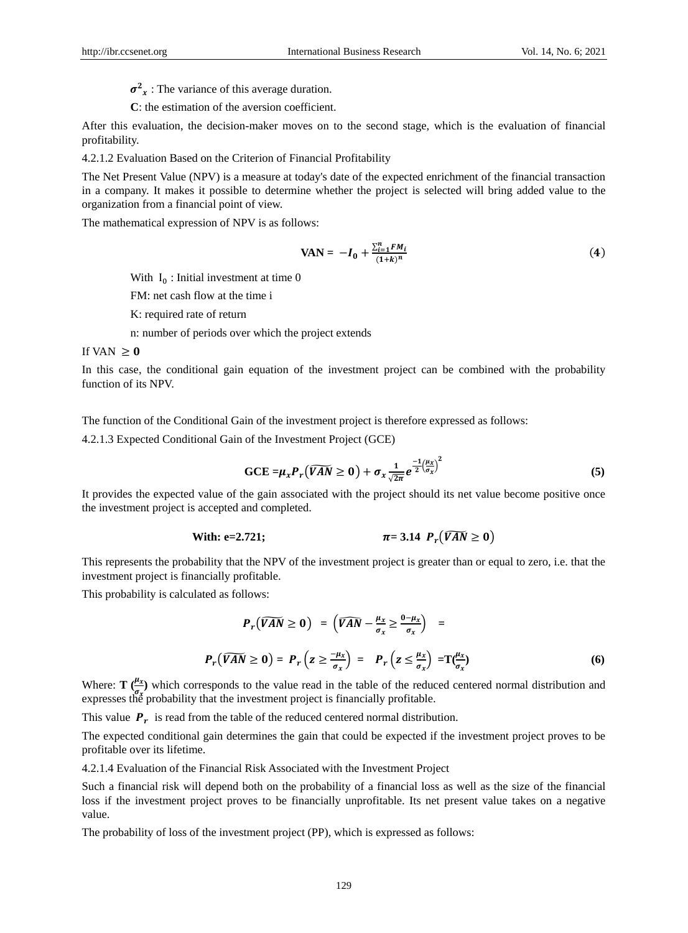$\sigma^2$ <sub>x</sub>: The variance of this average duration.

**C**: the estimation of the aversion coefficient.

After this evaluation, the decision-maker moves on to the second stage, which is the evaluation of financial profitability.

4.2.1.2 Evaluation Based on the Criterion of Financial Profitability

The Net Present Value (NPV) is a measure at today's date of the expected enrichment of the financial transaction in a company. It makes it possible to determine whether the project is selected will bring added value to the organization from a financial point of view.

The mathematical expression of NPV is as follows:

$$
VAN = -I_0 + \frac{\sum_{i=1}^{n} FM_i}{(1+k)^n}
$$
 (4)

With  $I_0$ : Initial investment at time 0

FM: net cash flow at the time i

K: required rate of return

n: number of periods over which the project extends

#### If VAN  $\geq 0$

In this case, the conditional gain equation of the investment project can be combined with the probability function of its NPV.

The function of the Conditional Gain of the investment project is therefore expressed as follows:

4.2.1.3 Expected Conditional Gain of the Investment Project (GCE)

$$
\text{GCE} = \mu_x P_r \left( \widehat{VAN} \ge 0 \right) + \sigma_x \frac{1}{\sqrt{2\pi}} e^{-\frac{1}{2} \left( \frac{\mu_x}{\sigma_x} \right)^2} \tag{5}
$$

It provides the expected value of the gain associated with the project should its net value become positive once the investment project is accepted and completed.

With: e=2.721; 
$$
\pi = 3.14 \ P_r(\widehat{VAN} \geq 0)
$$

This represents the probability that the NPV of the investment project is greater than or equal to zero, i.e. that the investment project is financially profitable.

This probability is calculated as follows:

$$
P_r(\widehat{VAN} \ge 0) = (\widehat{VAN} - \frac{\mu_x}{\sigma_x} \ge \frac{0 - \mu_x}{\sigma_x}) =
$$
  

$$
P_r(\widehat{VAN} \ge 0) = P_r(z \ge \frac{-\mu_x}{\sigma_x}) = P_r(z \le \frac{\mu_x}{\sigma_x}) = T(\frac{\mu_x}{\sigma_x})
$$
 (6)

Where:  $\mathbf{T}(\frac{\mu_{x}}{2})$  which corresponds to the value read in the table of the reduced centered normal distribution and expresses the probability that the investment project is financially profitable.

This value  $P_r$  is read from the table of the reduced centered normal distribution.

The expected conditional gain determines the gain that could be expected if the investment project proves to be profitable over its lifetime.

4.2.1.4 Evaluation of the Financial Risk Associated with the Investment Project

Such a financial risk will depend both on the probability of a financial loss as well as the size of the financial loss if the investment project proves to be financially unprofitable. Its net present value takes on a negative value.

The probability of loss of the investment project (PP), which is expressed as follows: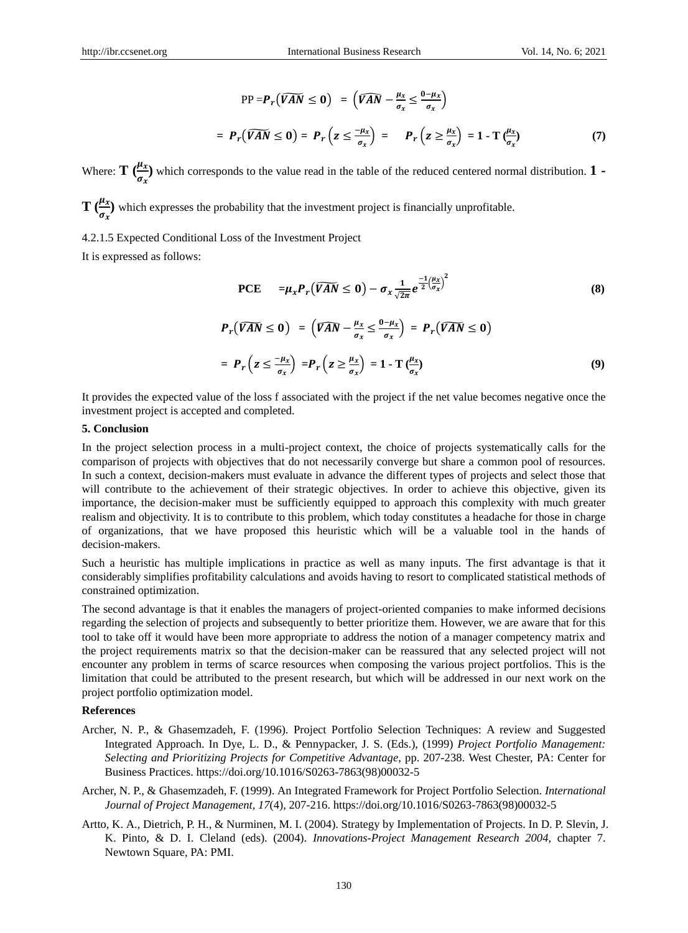$$
PP = P_r(\widehat{VAN} \le 0) = (\widehat{VAN} - \frac{\mu_x}{\sigma_x} \le \frac{0 - \mu_x}{\sigma_x})
$$
  
=  $P_r(\widehat{VAN} \le 0) = P_r(z \le \frac{\mu_x}{\sigma_x}) = P_r(z \ge \frac{\mu_x}{\sigma_x}) = 1 - T(\frac{\mu_x}{\sigma_x})$  (7)

Where:  $\mathbf{T} \left( \frac{\mu_x}{\sigma_x} \right)$  which corresponds to the value read in the table of the reduced centered normal distribution. **1** -

**T**  $\left(\frac{\mu_x}{\sigma_x}\right)$  which expresses the probability that the investment project is financially unprofitable.

4.2.1.5 Expected Conditional Loss of the Investment Project

It is expressed as follows:

PCE 
$$
=\mu_x P_r(\widehat{VAN} \le 0) - \sigma_x \frac{1}{\sqrt{2\pi}} e^{\frac{-1}{2} (\frac{\mu_x}{\sigma_x})^2}
$$
 (8)

$$
P_r(\widehat{VAN} \le 0) = (\widehat{VAN} - \frac{\mu_x}{\sigma_x} \le \frac{0 - \mu_x}{\sigma_x}) = P_r(\widehat{VAN} \le 0)
$$
  
=  $P_r(z \le \frac{-\mu_x}{\sigma_x}) = P_r(z \ge \frac{\mu_x}{\sigma_x}) = 1 - T(\frac{\mu_x}{\sigma_x})$  (9)

It provides the expected value of the loss f associated with the project if the net value becomes negative once the investment project is accepted and completed.

#### **5. Conclusion**

In the project selection process in a multi-project context, the choice of projects systematically calls for the comparison of projects with objectives that do not necessarily converge but share a common pool of resources. In such a context, decision-makers must evaluate in advance the different types of projects and select those that will contribute to the achievement of their strategic objectives. In order to achieve this objective, given its importance, the decision-maker must be sufficiently equipped to approach this complexity with much greater realism and objectivity. It is to contribute to this problem, which today constitutes a headache for those in charge of organizations, that we have proposed this heuristic which will be a valuable tool in the hands of decision-makers.

Such a heuristic has multiple implications in practice as well as many inputs. The first advantage is that it considerably simplifies profitability calculations and avoids having to resort to complicated statistical methods of constrained optimization.

The second advantage is that it enables the managers of project-oriented companies to make informed decisions regarding the selection of projects and subsequently to better prioritize them. However, we are aware that for this tool to take off it would have been more appropriate to address the notion of a manager competency matrix and the project requirements matrix so that the decision-maker can be reassured that any selected project will not encounter any problem in terms of scarce resources when composing the various project portfolios. This is the limitation that could be attributed to the present research, but which will be addressed in our next work on the project portfolio optimization model.

#### **References**

- Archer, N. P., & Ghasemzadeh, F. (1996). Project Portfolio Selection Techniques: A review and Suggested Integrated Approach. In Dye, L. D., & Pennypacker, J. S. (Eds.), (1999) *Project Portfolio Management: Selecting and Prioritizing Projects for Competitive Advantage*, pp. 207-238. West Chester, PA: Center for Business Practices. https://doi.org/10.1016/S0263-7863(98)00032-5
- Archer, N. P., & Ghasemzadeh, F. (1999). An Integrated Framework for Project Portfolio Selection. *International Journal of Project Management, 17*(4), 207-216. https://doi.org/10.1016/S0263-7863(98)00032-5
- Artto, K. A., Dietrich, P. H., & Nurminen, M. I. (2004). Strategy by Implementation of Projects. In D. P. Slevin, J. K. Pinto, & D. I. Cleland (eds). (2004). *Innovations-Project Management Research 2004,* chapter 7. Newtown Square, PA: PMI.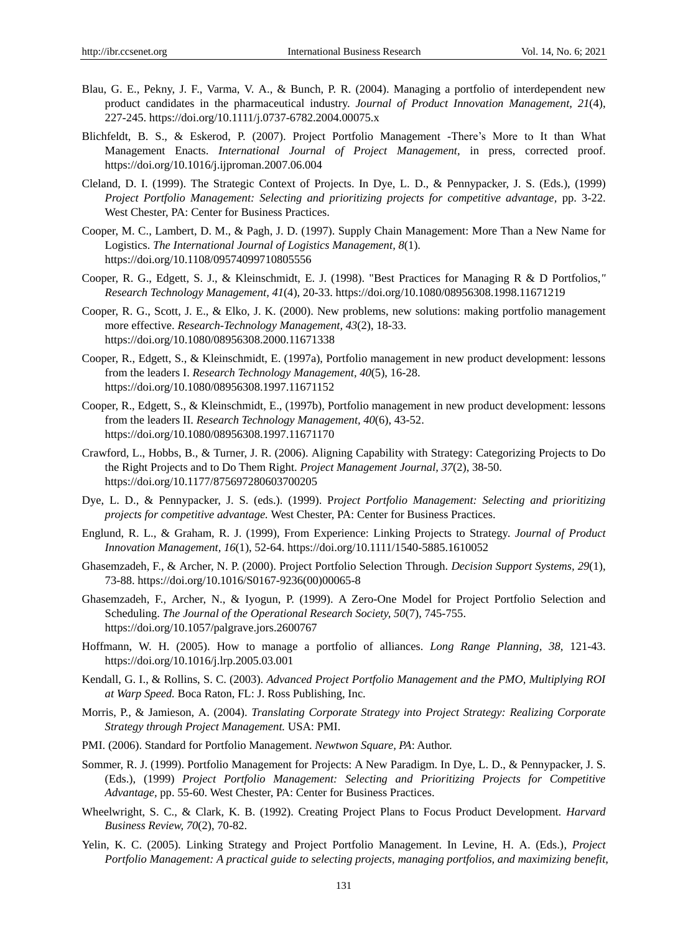- Blau, G. E., Pekny, J. F., Varma, V. A., & Bunch, P. R. (2004). Managing a portfolio of interdependent new product candidates in the pharmaceutical industry. *Journal of Product Innovation Management, 21*(4), 227-245. https://doi.org/10.1111/j.0737-6782.2004.00075.x
- Blichfeldt, B. S., & Eskerod, P. (2007). Project Portfolio Management -There's More to It than What Management Enacts. *International Journal of Project Management,* in press, corrected proof. https://doi.org/10.1016/j.ijproman.2007.06.004
- Cleland, D. I. (1999). The Strategic Context of Projects. In Dye, L. D., & Pennypacker, J. S. (Eds.), (1999) *Project Portfolio Management: Selecting and prioritizing projects for competitive advantage,* pp. 3-22. West Chester, PA: Center for Business Practices.
- Cooper, M. C., Lambert, D. M., & Pagh, J. D. (1997). Supply Chain Management: More Than a New Name for Logistics. *The International Journal of Logistics Management, 8*(1). https://doi.org/10.1108/09574099710805556
- Cooper, R. G., Edgett, S. J., & Kleinschmidt, E. J. (1998). "Best Practices for Managing R & D Portfolios,*" Research Technology Management, 41*(4), 20-33. https://doi.org/10.1080/08956308.1998.11671219
- Cooper, R. G., Scott, J. E., & Elko, J. K. (2000). New problems, new solutions: making portfolio management more effective. *Research-Technology Management, 43*(2), 18-33. https://doi.org/10.1080/08956308.2000.11671338
- Cooper, R., Edgett, S., & Kleinschmidt, E. (1997a), Portfolio management in new product development: lessons from the leaders I. *Research Technology Management, 40*(5), 16-28. https://doi.org/10.1080/08956308.1997.11671152
- Cooper, R., Edgett, S., & Kleinschmidt, E., (1997b), Portfolio management in new product development: lessons from the leaders II. *Research Technology Management, 40*(6), 43-52. https://doi.org/10.1080/08956308.1997.11671170
- Crawford, L., Hobbs, B., & Turner, J. R. (2006). Aligning Capability with Strategy: Categorizing Projects to Do the Right Projects and to Do Them Right. *Project Management Journal, 37*(2), 38-50. https://doi.org/10.1177/875697280603700205
- Dye, L. D., & Pennypacker, J. S. (eds.). (1999). P*roject Portfolio Management: Selecting and prioritizing projects for competitive advantage.* West Chester, PA: Center for Business Practices.
- Englund, R. L., & Graham, R. J. (1999), From Experience: Linking Projects to Strategy. *Journal of Product Innovation Management, 16*(1), 52-64. https://doi.org/10.1111/1540-5885.1610052
- Ghasemzadeh, F., & Archer, N. P. (2000). Project Portfolio Selection Through. *Decision Support Systems, 29*(1), 73-88. https://doi.org/10.1016/S0167-9236(00)00065-8
- Ghasemzadeh, F., Archer, N., & Iyogun, P. (1999). A Zero-One Model for Project Portfolio Selection and Scheduling. *The Journal of the Operational Research Society, 50*(7), 745-755. https://doi.org/10.1057/palgrave.jors.2600767
- Hoffmann, W. H. (2005). How to manage a portfolio of alliances. *Long Range Planning, 38,* 121-43. https://doi.org/10.1016/j.lrp.2005.03.001
- Kendall, G. I., & Rollins, S. C. (2003). *Advanced Project Portfolio Management and the PMO, Multiplying ROI at Warp Speed.* Boca Raton, FL: J. Ross Publishing, Inc.
- Morris, P., & Jamieson, A. (2004). *Translating Corporate Strategy into Project Strategy: Realizing Corporate Strategy through Project Management.* USA: PMI.
- PMI. (2006). Standard for Portfolio Management. *Newtwon Square, PA*: Author.
- Sommer, R. J. (1999). Portfolio Management for Projects: A New Paradigm. In Dye, L. D., & Pennypacker, J. S. (Eds.), (1999) *Project Portfolio Management: Selecting and Prioritizing Projects for Competitive Advantage,* pp. 55-60. West Chester, PA: Center for Business Practices.
- Wheelwright, S. C., & Clark, K. B. (1992). Creating Project Plans to Focus Product Development. *Harvard Business Review, 70*(2), 70-82.
- Yelin, K. C. (2005). Linking Strategy and Project Portfolio Management. In Levine, H. A. (Eds.), *Project Portfolio Management: A practical guide to selecting projects, managing portfolios, and maximizing benefit,*